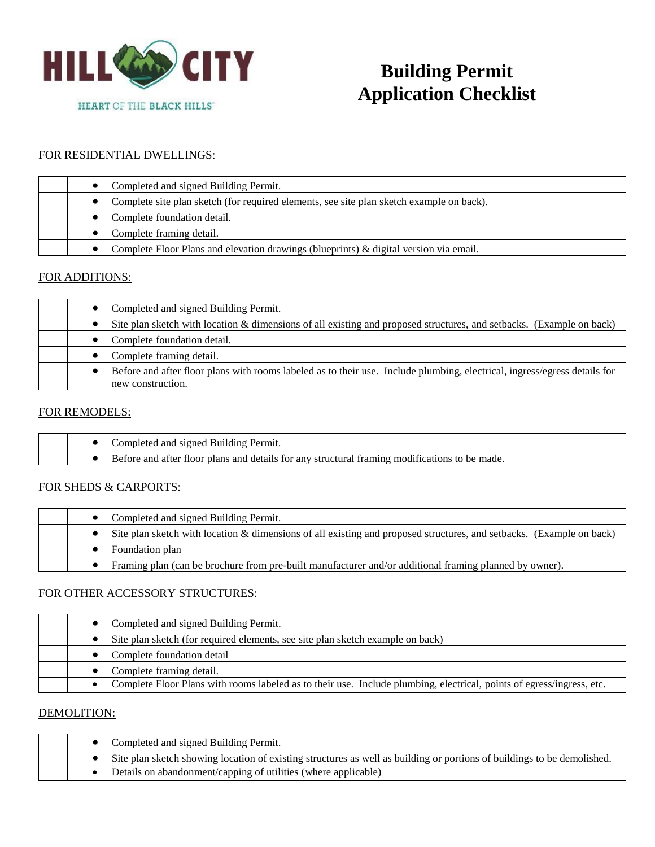

# **Building Permit Application Checklist**

## FOR RESIDENTIAL DWELLINGS:

| Completed and signed Building Permit.                                                    |
|------------------------------------------------------------------------------------------|
| Complete site plan sketch (for required elements, see site plan sketch example on back). |
| Complete foundation detail.                                                              |
| Complete framing detail.                                                                 |
| Complete Floor Plans and elevation drawings (blueprints) & digital version via email.    |

### FOR ADDITIONS:

| Completed and signed Building Permit.                                                                                                          |
|------------------------------------------------------------------------------------------------------------------------------------------------|
| Site plan sketch with location & dimensions of all existing and proposed structures, and setbacks. (Example on back)                           |
| Complete foundation detail.                                                                                                                    |
| Complete framing detail.                                                                                                                       |
| Before and after floor plans with rooms labeled as to their use. Include plumbing, electrical, ingress/egress details for<br>new construction. |

#### FOR REMODELS:

|  | Completed and signed Building Permit.                                                         |
|--|-----------------------------------------------------------------------------------------------|
|  | Before and after floor plans and details for any structural framing modifications to be made. |
|  |                                                                                               |

#### FOR SHEDS & CARPORTS:

| • Completed and signed Building Permit.                                                                              |
|----------------------------------------------------------------------------------------------------------------------|
| Site plan sketch with location & dimensions of all existing and proposed structures, and setbacks. (Example on back) |
| Foundation plan                                                                                                      |
| Framing plan (can be brochure from pre-built manufacturer and/or additional framing planned by owner).               |

#### FOR OTHER ACCESSORY STRUCTURES:

| Completed and signed Building Permit.                                                                                 |
|-----------------------------------------------------------------------------------------------------------------------|
| Site plan sketch (for required elements, see site plan sketch example on back)                                        |
| Complete foundation detail                                                                                            |
| Complete framing detail.                                                                                              |
| Complete Floor Plans with rooms labeled as to their use. Include plumbing, electrical, points of egress/ingress, etc. |

## DEMOLITION:

|  | • Completed and signed Building Permit.                                                                                 |
|--|-------------------------------------------------------------------------------------------------------------------------|
|  | Site plan sketch showing location of existing structures as well as building or portions of buildings to be demolished. |
|  | Details on abandonment/capping of utilities (where applicable)                                                          |